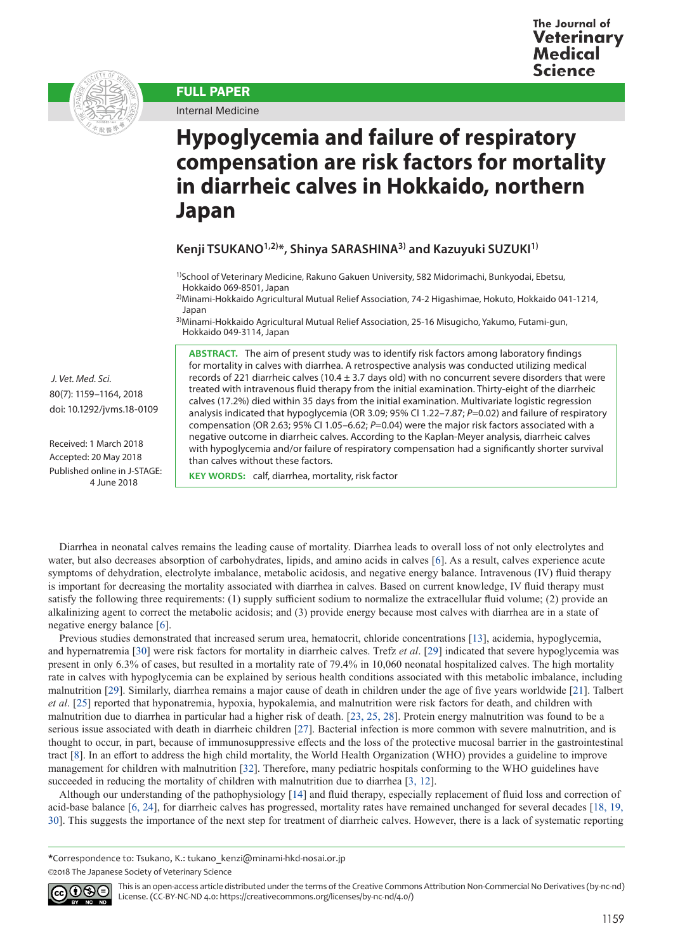

FULL PAPER

Internal Medicine

# **Hypoglycemia and failure of respiratory compensation are risk factors for mortality in diarrheic calves in Hokkaido, northern Japan**

## **Kenji TSUKANO1,2)\*, Shinya SARASHINA3) and Kazuyuki SUZUKI1)**

<sup>1)</sup>School of Veterinary Medicine, Rakuno Gakuen University, 582 Midorimachi, Bunkyodai, Ebetsu, Hokkaido 069-8501, Japan

2)Minami-Hokkaido Agricultural Mutual Relief Association, 74-2 Higashimae, Hokuto, Hokkaido 041-1214, Japan

<sup>3)</sup>Minami-Hokkaido Agricultural Mutual Relief Association, 25-16 Misugicho, Yakumo, Futami-gun, Hokkaido 049-3114, Japan

**ABSTRACT.** The aim of present study was to identify risk factors among laboratory findings for mortality in calves with diarrhea. A retrospective analysis was conducted utilizing medical records of 221 diarrheic calves (10.4  $\pm$  3.7 days old) with no concurrent severe disorders that were treated with intravenous fluid therapy from the initial examination. Thirty-eight of the diarrheic calves (17.2%) died within 35 days from the initial examination. Multivariate logistic regression analysis indicated that hypoglycemia (OR 3.09; 95% CI 1.22–7.87; *P*=0.02) and failure of respiratory compensation (OR 2.63; 95% CI 1.05–6.62; *P*=0.04) were the major risk factors associated with a negative outcome in diarrheic calves. According to the Kaplan-Meyer analysis, diarrheic calves with hypoglycemia and/or failure of respiratory compensation had a significantly shorter survival than calves without these factors.

 *J. Vet. Med. Sci.*  80(7): 1159–1164, 2018 doi: 10.1292/jvms.18-0109

Received: 1 March 2018 Accepted: 20 May 2018 Published online in J-STAGE: 4 June 2018

**KEY WORDS:** calf, diarrhea, mortality, risk factor

Diarrhea in neonatal calves remains the leading cause of mortality. Diarrhea leads to overall loss of not only electrolytes and water, but also decreases absorption of carbohydrates, lipids, and amino acids in calves [\[6](#page-4-0)]. As a result, calves experience acute symptoms of dehydration, electrolyte imbalance, metabolic acidosis, and negative energy balance. Intravenous (IV) fluid therapy is important for decreasing the mortality associated with diarrhea in calves. Based on current knowledge, IV fluid therapy must satisfy the following three requirements: (1) supply sufficient sodium to normalize the extracellular fluid volume; (2) provide an alkalinizing agent to correct the metabolic acidosis; and (3) provide energy because most calves with diarrhea are in a state of negative energy balance [\[6](#page-4-0)].

Previous studies demonstrated that increased serum urea, hematocrit, chloride concentrations [[13](#page-4-1)], acidemia, hypoglycemia, and hypernatremia [[30\]](#page-5-0) were risk factors for mortality in diarrheic calves. Trefz *et al*. [[29](#page-5-1)] indicated that severe hypoglycemia was present in only 6.3% of cases, but resulted in a mortality rate of 79.4% in 10,060 neonatal hospitalized calves. The high mortality rate in calves with hypoglycemia can be explained by serious health conditions associated with this metabolic imbalance, including malnutrition [[29](#page-5-1)]. Similarly, diarrhea remains a major cause of death in children under the age of five years worldwide [\[21](#page-5-2)]. Talbert *et al*. [[25](#page-5-3)] reported that hyponatremia, hypoxia, hypokalemia, and malnutrition were risk factors for death, and children with malnutrition due to diarrhea in particular had a higher risk of death. [[23, 25, 28](#page-5-4)]. Protein energy malnutrition was found to be a serious issue associated with death in diarrheic children [[27](#page-5-5)]. Bacterial infection is more common with severe malnutrition, and is thought to occur, in part, because of immunosuppressive effects and the loss of the protective mucosal barrier in the gastrointestinal tract [[8](#page-4-2)]. In an effort to address the high child mortality, the World Health Organization (WHO) provides a guideline to improve management for children with malnutrition [[32\]](#page-5-6). Therefore, many pediatric hospitals conforming to the WHO guidelines have succeeded in reducing the mortality of children with malnutrition due to diarrhea [[3, 12](#page-4-3)].

Although our understanding of the pathophysiology [[14](#page-5-7)] and fluid therapy, especially replacement of fluid loss and correction of acid-base balance [[6, 24](#page-4-0)], for diarrheic calves has progressed, mortality rates have remained unchanged for several decades [[18, 19,](#page-5-8)  [30](#page-5-8)]. This suggests the importance of the next step for treatment of diarrheic calves. However, there is a lack of systematic reporting

**\***Correspondence to: Tsukano, K.: tukano\_kenzi@minami-hkd-nosai.or.jp ©2018 The Japanese Society of Veterinary Science

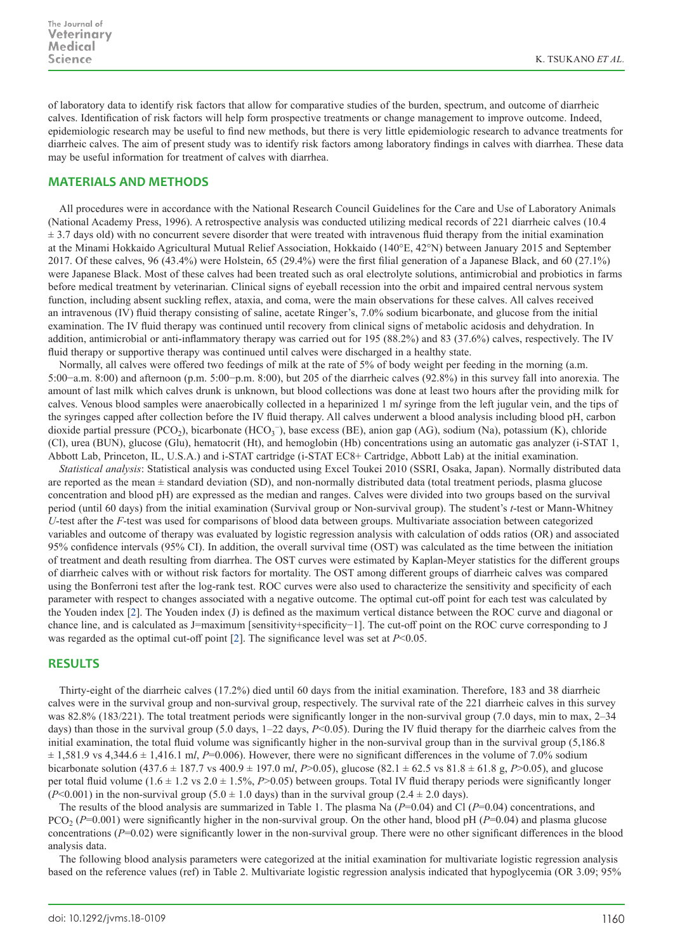of laboratory data to identify risk factors that allow for comparative studies of the burden, spectrum, and outcome of diarrheic calves. Identification of risk factors will help form prospective treatments or change management to improve outcome. Indeed, epidemiologic research may be useful to find new methods, but there is very little epidemiologic research to advance treatments for diarrheic calves. The aim of present study was to identify risk factors among laboratory findings in calves with diarrhea. These data may be useful information for treatment of calves with diarrhea.

## **MATERIALS AND METHODS**

All procedures were in accordance with the National Research Council Guidelines for the Care and Use of Laboratory Animals (National Academy Press, 1996). A retrospective analysis was conducted utilizing medical records of 221 diarrheic calves (10.4  $\pm$  3.7 days old) with no concurrent severe disorder that were treated with intravenous fluid therapy from the initial examination at the Minami Hokkaido Agricultural Mutual Relief Association, Hokkaido (140°E, 42°N) between January 2015 and September 2017. Of these calves, 96 (43.4%) were Holstein, 65 (29.4%) were the first filial generation of a Japanese Black, and 60 (27.1%) were Japanese Black. Most of these calves had been treated such as oral electrolyte solutions, antimicrobial and probiotics in farms before medical treatment by veterinarian. Clinical signs of eyeball recession into the orbit and impaired central nervous system function, including absent suckling reflex, ataxia, and coma, were the main observations for these calves. All calves received an intravenous (IV) fluid therapy consisting of saline, acetate Ringer's, 7.0% sodium bicarbonate, and glucose from the initial examination. The IV fluid therapy was continued until recovery from clinical signs of metabolic acidosis and dehydration. In addition, antimicrobial or anti-inflammatory therapy was carried out for 195 (88.2%) and 83 (37.6%) calves, respectively. The IV fluid therapy or supportive therapy was continued until calves were discharged in a healthy state.

Normally, all calves were offered two feedings of milk at the rate of 5% of body weight per feeding in the morning (a.m. 5:00−a.m. 8:00) and afternoon (p.m. 5:00−p.m. 8:00), but 205 of the diarrheic calves (92.8%) in this survey fall into anorexia. The amount of last milk which calves drunk is unknown, but blood collections was done at least two hours after the providing milk for calves. Venous blood samples were anaerobically collected in a heparinized 1 m*l* syringe from the left jugular vein, and the tips of the syringes capped after collection before the IV fluid therapy. All calves underwent a blood analysis including blood pH, carbon dioxide partial pressure (PCO<sub>2</sub>), bicarbonate (HCO<sub>3</sub><sup>-</sup>), base excess (BE), anion gap (AG), sodium (Na), potassium (K), chloride (Cl), urea (BUN), glucose (Glu), hematocrit (Ht), and hemoglobin (Hb) concentrations using an automatic gas analyzer (i-STAT 1, Abbott Lab, Princeton, IL, U.S.A.) and i-STAT cartridge (i-STAT EC8+ Cartridge, Abbott Lab) at the initial examination.

*Statistical analysis*: Statistical analysis was conducted using Excel Toukei 2010 (SSRI, Osaka, Japan). Normally distributed data are reported as the mean  $\pm$  standard deviation (SD), and non-normally distributed data (total treatment periods, plasma glucose concentration and blood pH) are expressed as the median and ranges. Calves were divided into two groups based on the survival period (until 60 days) from the initial examination (Survival group or Non-survival group). The student's *t*-test or Mann-Whitney *U*-test after the *F*-test was used for comparisons of blood data between groups. Multivariate association between categorized variables and outcome of therapy was evaluated by logistic regression analysis with calculation of odds ratios (OR) and associated 95% confidence intervals (95% CI). In addition, the overall survival time (OST) was calculated as the time between the initiation of treatment and death resulting from diarrhea. The OST curves were estimated by Kaplan-Meyer statistics for the different groups of diarrheic calves with or without risk factors for mortality. The OST among different groups of diarrheic calves was compared using the Bonferroni test after the log-rank test. ROC curves were also used to characterize the sensitivity and specificity of each parameter with respect to changes associated with a negative outcome. The optimal cut-off point for each test was calculated by the Youden index [[2\]](#page-4-4). The Youden index (J) is defined as the maximum vertical distance between the ROC curve and diagonal or chance line, and is calculated as J=maximum [sensitivity+specificity−1]. The cut-off point on the ROC curve corresponding to J was regarded as the optimal cut-off point [[2\]](#page-4-4). The significance level was set at *P*<0.05.

### **RESULTS**

Thirty-eight of the diarrheic calves (17.2%) died until 60 days from the initial examination. Therefore, 183 and 38 diarrheic calves were in the survival group and non-survival group, respectively. The survival rate of the 221 diarrheic calves in this survey was 82.8% (183/221). The total treatment periods were significantly longer in the non-survival group (7.0 days, min to max, 2–34 days) than those in the survival group (5.0 days, 1–22 days, P<0.05). During the IV fluid therapy for the diarrheic calves from the initial examination, the total fluid volume was significantly higher in the non-survival group than in the survival group (5,186.8)  $\pm$  1,581.9 vs 4,344.6  $\pm$  1,416.1 m*l*, *P*=0.006). However, there were no significant differences in the volume of 7.0% sodium bicarbonate solution (437.6  $\pm$  187.7 vs 400.9  $\pm$  197.0 ml, *P*>0.05), glucose (82.1  $\pm$  62.5 vs 81.8  $\pm$  61.8 g, *P*>0.05), and glucose per total fluid volume (1.6 ± 1.2 vs 2.0 ± 1.5%, *P*>0.05) between groups. Total IV fluid therapy periods were significantly longer (*P*<0.001) in the non-survival group (5.0  $\pm$  1.0 days) than in the survival group (2.4  $\pm$  2.0 days).

The results of the blood analysis are summarized in Table 1. The plasma Na (*P*=0.04) and Cl (*P*=0.04) concentrations, and PCO2 (*P*=0.001) were significantly higher in the non-survival group. On the other hand, blood pH (*P*=0.04) and plasma glucose concentrations (*P*=0.02) were significantly lower in the non-survival group. There were no other significant differences in the blood analysis data.

The following blood analysis parameters were categorized at the initial examination for multivariate logistic regression analysis based on the reference values (ref) in Table 2. Multivariate logistic regression analysis indicated that hypoglycemia (OR 3.09; 95%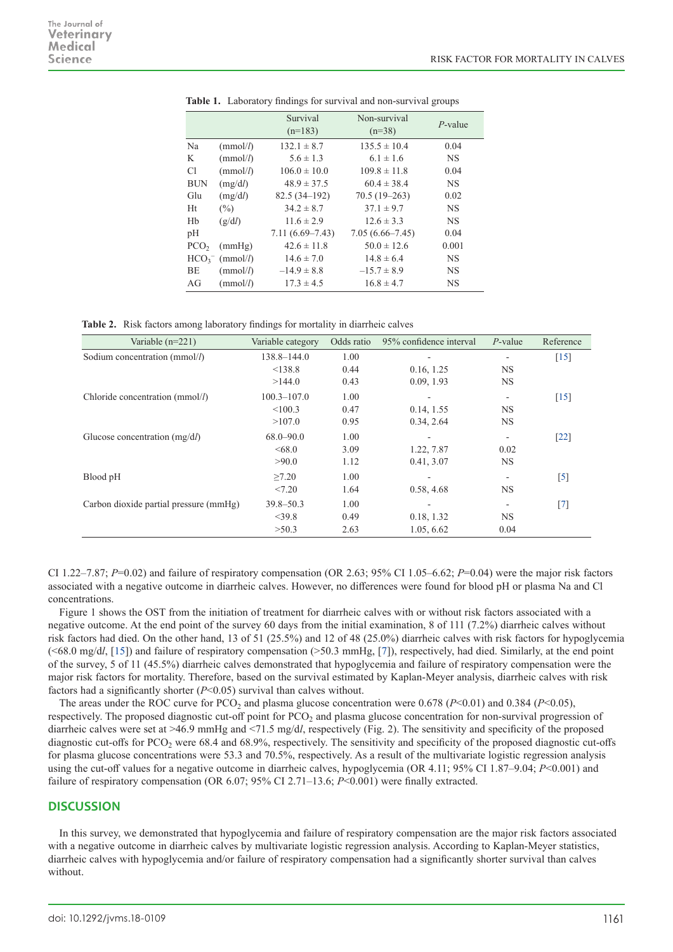|                  |                  | Survival<br>$(n=183)$ | Non-survival<br>$(n=38)$ | $P$ -value |
|------------------|------------------|-----------------------|--------------------------|------------|
| Na               | (mmol/l)         | $132.1 \pm 8.7$       | $135.5 \pm 10.4$         | 0.04       |
| K                | (mmol/l)         | $5.6 \pm 1.3$         | $6.1 \pm 1.6$            | <b>NS</b>  |
| Сl               | (mmol/l)         | $106.0 \pm 10.0$      | $109.8 \pm 11.8$         | 0.04       |
| <b>BUN</b>       | (mg/dl)          | $48.9 \pm 37.5$       | $60.4 \pm 38.4$          | <b>NS</b>  |
| Glu              | (mg/dl)          | $82.5(34-192)$        | $70.5(19-263)$           | 0.02       |
| Ht               | $(\%)$           | $34.2 \pm 8.7$        | $37.1 \pm 9.7$           | <b>NS</b>  |
| Hb               | (g/dl)           | $11.6 \pm 2.9$        | $12.6 \pm 3.3$           | <b>NS</b>  |
| pH               |                  | $7.11(6.69 - 7.43)$   | $7.05(6.66 - 7.45)$      | 0.04       |
| PCO <sub>2</sub> | (mmHg)           | $42.6 \pm 11.8$       | $50.0 \pm 12.6$          | 0.001      |
|                  | $HCO3-$ (mmol/l) | $14.6 \pm 7.0$        | $14.8 \pm 6.4$           | <b>NS</b>  |
| <b>BE</b>        | (mmol/l)         | $-14.9 \pm 8.8$       | $-15.7 \pm 8.9$          | <b>NS</b>  |
| AG               | (mmol/l)         | $17.3 \pm 4.5$        | $16.8 \pm 4.7$           | <b>NS</b>  |

**Table 1.** Laboratory findings for survival and non-survival groups

**Table 2.** Risk factors among laboratory findings for mortality in diarrheic calves

| Variable $(n=221)$                     | Variable category | Odds ratio | 95% confidence interval | $P$ -value | Reference         |
|----------------------------------------|-------------------|------------|-------------------------|------------|-------------------|
| Sodium concentration (mmol/l)          | $138.8 - 144.0$   | 1.00       |                         | ٠          | $[15]$            |
|                                        | < 138.8           | 0.44       | 0.16, 1.25              | <b>NS</b>  |                   |
|                                        | >144.0            | 0.43       | 0.09, 1.93              | <b>NS</b>  |                   |
| Chloride concentration ( $mmol/l$ )    | $100.3 - 107.0$   | 1.00       |                         |            | $[15]$            |
|                                        | < 100.3           | 0.47       | 0.14, 1.55              | <b>NS</b>  |                   |
|                                        | >107.0            | 0.95       | 0.34, 2.64              | <b>NS</b>  |                   |
| Glucose concentration $(mg/dl)$        | $68.0 - 90.0$     | 1.00       |                         |            | [22]              |
|                                        | <68.0             | 3.09       | 1.22, 7.87              | 0.02       |                   |
|                                        | >90.0             | 1.12       | 0.41, 3.07              | <b>NS</b>  |                   |
| Blood pH                               | >7.20             | 1.00       |                         |            | $[5]$             |
|                                        | < 7.20            | 1.64       | 0.58, 4.68              | <b>NS</b>  |                   |
| Carbon dioxide partial pressure (mmHg) | $39.8 - 50.3$     | 1.00       |                         |            | $\lceil 7 \rceil$ |
|                                        | $<$ 39.8          | 0.49       | 0.18, 1.32              | <b>NS</b>  |                   |
|                                        | >50.3             | 2.63       | 1.05, 6.62              | 0.04       |                   |

CI 1.22–7.87;  $P=0.02$ ) and failure of respiratory compensation (OR 2.63; 95% CI 1.05–6.62;  $P=0.04$ ) were the major risk factors associated with a negative outcome in diarrheic calves. However, no differences were found for blood pH or plasma Na and Cl concentrations.

Figure 1 shows the OST from the initiation of treatment for diarrheic calves with or without risk factors associated with a negative outcome. At the end point of the survey 60 days from the initial examination, 8 of 111 (7.2%) diarrheic calves without risk factors had died. On the other hand, 13 of 51 (25.5%) and 12 of 48 (25.0%) diarrheic calves with risk factors for hypoglycemia (<68.0 mg/d*l*, [[15\]](#page-5-9)) and failure of respiratory compensation (>50.3 mmHg, [[7](#page-4-5)]), respectively, had died. Similarly, at the end point of the survey, 5 of 11 (45.5%) diarrheic calves demonstrated that hypoglycemia and failure of respiratory compensation were the major risk factors for mortality. Therefore, based on the survival estimated by Kaplan-Meyer analysis, diarrheic calves with risk factors had a significantly shorter  $(P<0.05)$  survival than calves without.

The areas under the ROC curve for PCO<sub>2</sub> and plasma glucose concentration were 0.678 ( $P$ <0.01) and 0.384 ( $P$ <0.05), respectively. The proposed diagnostic cut-off point for PCO<sub>2</sub> and plasma glucose concentration for non-survival progression of diarrheic calves were set at >46.9 mmHg and <71.5 mg/d*l*, respectively (Fig. 2). The sensitivity and specificity of the proposed diagnostic cut-offs for PCO<sub>2</sub> were 68.4 and 68.9%, respectively. The sensitivity and specificity of the proposed diagnostic cut-offs for plasma glucose concentrations were 53.3 and 70.5%, respectively. As a result of the multivariate logistic regression analysis using the cut-off values for a negative outcome in diarrheic calves, hypoglycemia (OR 4.11; 95% CI 1.87–9.04; *P*<0.001) and failure of respiratory compensation (OR 6.07; 95% CI 2.71–13.6; *P*<0.001) were finally extracted.

### **DISCUSSION**

In this survey, we demonstrated that hypoglycemia and failure of respiratory compensation are the major risk factors associated with a negative outcome in diarrheic calves by multivariate logistic regression analysis. According to Kaplan-Meyer statistics, diarrheic calves with hypoglycemia and/or failure of respiratory compensation had a significantly shorter survival than calves without.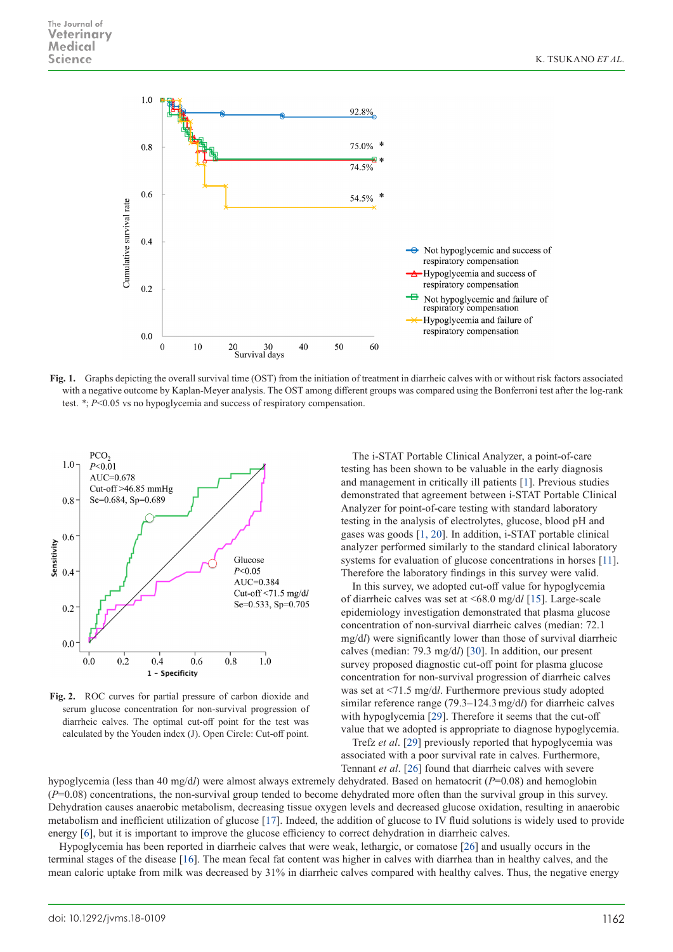

**Fig. 1.** Graphs depicting the overall survival time (OST) from the initiation of treatment in diarrheic calves with or without risk factors associated with a negative outcome by Kaplan-Meyer analysis. The OST among different groups was compared using the Bonferroni test after the log-rank test. *\**; *P*<0.05 vs no hypoglycemia and success of respiratory compensation.



**Fig. 2.** ROC curves for partial pressure of carbon dioxide and serum glucose concentration for non-survival progression of diarrheic calves. The optimal cut-off point for the test was calculated by the Youden index (J). Open Circle: Cut-off point.

The i-STAT Portable Clinical Analyzer, a point-of-care testing has been shown to be valuable in the early diagnosis and management in critically ill patients [\[1\]](#page-4-7). Previous studies demonstrated that agreement between i-STAT Portable Clinical Analyzer for point-of-care testing with standard laboratory testing in the analysis of electrolytes, glucose, blood pH and gases was goods [[1, 20](#page-4-7)]. In addition, i-STAT portable clinical analyzer performed similarly to the standard clinical laboratory systems for evaluation of glucose concentrations in horses [[11](#page-4-8)]. Therefore the laboratory findings in this survey were valid.

In this survey, we adopted cut-off value for hypoglycemia of diarrheic calves was set at <68.0 mg/d*l* [[15](#page-5-9)]. Large-scale epidemiology investigation demonstrated that plasma glucose concentration of non-survival diarrheic calves (median: 72.1 mg/d*l*) were significantly lower than those of survival diarrheic calves (median: 79.3 mg/d*l*) [[30](#page-5-0)]. In addition, our present survey proposed diagnostic cut-off point for plasma glucose concentration for non-survival progression of diarrheic calves was set at <71.5 mg/d*l*. Furthermore previous study adopted similar reference range (79.3–124.3mg/d*l*) for diarrheic calves with hypoglycemia [[29](#page-5-1)]. Therefore it seems that the cut-off value that we adopted is appropriate to diagnose hypoglycemia.

Trefz *et al*. [[29](#page-5-1)] previously reported that hypoglycemia was associated with a poor survival rate in calves. Furthermore, Tennant *et al*. [[26](#page-5-11)] found that diarrheic calves with severe

hypoglycemia (less than 40 mg/d*l*) were almost always extremely dehydrated. Based on hematocrit (*P*=0.08) and hemoglobin (*P*=0.08) concentrations, the non-survival group tended to become dehydrated more often than the survival group in this survey. Dehydration causes anaerobic metabolism, decreasing tissue oxygen levels and decreased glucose oxidation, resulting in anaerobic metabolism and inefficient utilization of glucose [[17](#page-5-12)]. Indeed, the addition of glucose to IV fluid solutions is widely used to provide energy [\[6](#page-4-0)], but it is important to improve the glucose efficiency to correct dehydration in diarrheic calves.

Hypoglycemia has been reported in diarrheic calves that were weak, lethargic, or comatose [[26](#page-5-11)] and usually occurs in the terminal stages of the disease [[16](#page-5-13)]. The mean fecal fat content was higher in calves with diarrhea than in healthy calves, and the mean caloric uptake from milk was decreased by 31% in diarrheic calves compared with healthy calves. Thus, the negative energy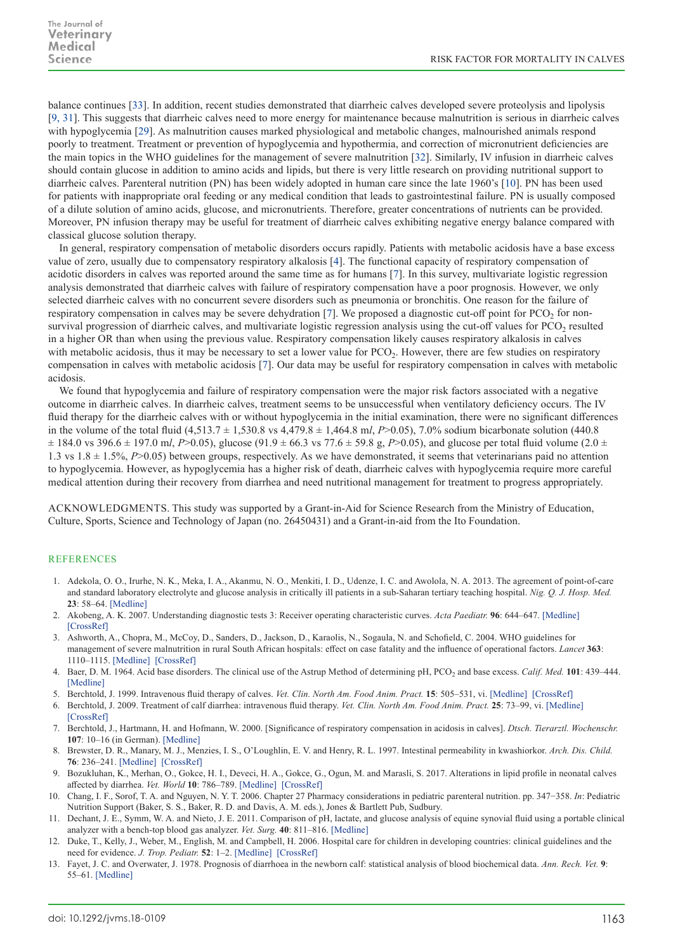balance continues [[33](#page-5-14)]. In addition, recent studies demonstrated that diarrheic calves developed severe proteolysis and lipolysis [[9, 31](#page-4-9)]. This suggests that diarrheic calves need to more energy for maintenance because malnutrition is serious in diarrheic calves with hypoglycemia [[29](#page-5-1)]. As malnutrition causes marked physiological and metabolic changes, malnourished animals respond poorly to treatment. Treatment or prevention of hypoglycemia and hypothermia, and correction of micronutrient deficiencies are the main topics in the WHO guidelines for the management of severe malnutrition [\[32](#page-5-6)]. Similarly, IV infusion in diarrheic calves should contain glucose in addition to amino acids and lipids, but there is very little research on providing nutritional support to diarrheic calves. Parenteral nutrition (PN) has been widely adopted in human care since the late 1960's [[10](#page-4-10)]. PN has been used for patients with inappropriate oral feeding or any medical condition that leads to gastrointestinal failure. PN is usually composed of a dilute solution of amino acids, glucose, and micronutrients. Therefore, greater concentrations of nutrients can be provided. Moreover, PN infusion therapy may be useful for treatment of diarrheic calves exhibiting negative energy balance compared with classical glucose solution therapy.

In general, respiratory compensation of metabolic disorders occurs rapidly. Patients with metabolic acidosis have a base excess value of zero, usually due to compensatory respiratory alkalosis [\[4](#page-4-11)]. The functional capacity of respiratory compensation of acidotic disorders in calves was reported around the same time as for humans [[7](#page-4-5)]. In this survey, multivariate logistic regression analysis demonstrated that diarrheic calves with failure of respiratory compensation have a poor prognosis. However, we only selected diarrheic calves with no concurrent severe disorders such as pneumonia or bronchitis. One reason for the failure of respiratory compensation in calves may be severe dehydration  $[7]$  $[7]$ . We proposed a diagnostic cut-off point for PCO<sub>2</sub> for nonsurvival progression of diarrheic calves, and multivariate logistic regression analysis using the cut-off values for  $PCO<sub>2</sub>$  resulted in a higher OR than when using the previous value. Respiratory compensation likely causes respiratory alkalosis in calves with metabolic acidosis, thus it may be necessary to set a lower value for  $PCO<sub>2</sub>$ . However, there are few studies on respiratory compensation in calves with metabolic acidosis [[7\]](#page-4-5). Our data may be useful for respiratory compensation in calves with metabolic acidosis.

We found that hypoglycemia and failure of respiratory compensation were the major risk factors associated with a negative outcome in diarrheic calves. In diarrheic calves, treatment seems to be unsuccessful when ventilatory deficiency occurs. The IV fluid therapy for the diarrheic calves with or without hypoglycemia in the initial examination, there were no significant differences in the volume of the total fluid (4,513.7 ± 1,530.8 vs 4,479.8 ± 1,464.8 m*l*, *P*>0.05), 7.0% sodium bicarbonate solution (440.8  $\pm$  184.0 vs 396.6  $\pm$  197.0 m*l*, *P*>0.05), glucose (91.9  $\pm$  66.3 vs 77.6  $\pm$  59.8 g, *P*>0.05), and glucose per total fluid volume (2.0  $\pm$ 1.3 vs 1.8 ± 1.5%, *P*>0.05) between groups, respectively. As we have demonstrated, it seems that veterinarians paid no attention to hypoglycemia. However, as hypoglycemia has a higher risk of death, diarrheic calves with hypoglycemia require more careful medical attention during their recovery from diarrhea and need nutritional management for treatment to progress appropriately.

ACKNOWLEDGMENTS. This study was supported by a Grant-in-Aid for Science Research from the Ministry of Education, Culture, Sports, Science and Technology of Japan (no. 26450431) and a Grant-in-aid from the Ito Foundation.

#### REFERENCES

- <span id="page-4-7"></span>1. Adekola, O. O., Irurhe, N. K., Meka, I. A., Akanmu, N. O., Menkiti, I. D., Udenze, I. C. and Awolola, N. A. 2013. The agreement of point-of-care and standard laboratory electrolyte and glucose analysis in critically ill patients in a sub-Saharan tertiary teaching hospital. *Nig. Q. J. Hosp. Med.* **23**: 58–64. [\[Medline\]](http://www.ncbi.nlm.nih.gov/pubmed/24579497?dopt=Abstract)
- <span id="page-4-4"></span>2. Akobeng, A. K. 2007. Understanding diagnostic tests 3: Receiver operating characteristic curves. *Acta Paediatr.* **96**: 644–647. [\[Medline\]](http://www.ncbi.nlm.nih.gov/pubmed/17376185?dopt=Abstract)  [\[CrossRef\]](http://dx.doi.org/10.1111/j.1651-2227.2006.00178.x)
- <span id="page-4-3"></span>3. Ashworth, A., Chopra, M., McCoy, D., Sanders, D., Jackson, D., Karaolis, N., Sogaula, N. and Schofield, C. 2004. WHO guidelines for management of severe malnutrition in rural South African hospitals: effect on case fatality and the influence of operational factors. *Lancet* **363**: 1110–1115. [\[Medline\]](http://www.ncbi.nlm.nih.gov/pubmed/15064029?dopt=Abstract) [\[CrossRef\]](http://dx.doi.org/10.1016/S0140-6736(04)15894-7)
- <span id="page-4-11"></span>4. Baer, D. M. 1964. Acid base disorders. The clinical use of the Astrup Method of determining pH, PCO<sub>2</sub> and base excess. *Calif. Med.* 101: 439-444. [\[Medline\]](http://www.ncbi.nlm.nih.gov/pubmed/14232162?dopt=Abstract)
- <span id="page-4-6"></span>5. Berchtold, J. 1999. Intravenous fluid therapy of calves. *Vet. Clin. North Am. Food Anim. Pract.* **15**: 505–531, vi. [\[Medline\]](http://www.ncbi.nlm.nih.gov/pubmed/10573809?dopt=Abstract) [\[CrossRef\]](http://dx.doi.org/10.1016/S0749-0720(15)30161-4)
- <span id="page-4-0"></span>6. Berchtold, J. 2009. Treatment of calf diarrhea: intravenous fluid therapy. *Vet. Clin. North Am. Food Anim. Pract.* **25**: 73–99, vi. [\[Medline\]](http://www.ncbi.nlm.nih.gov/pubmed/19174284?dopt=Abstract) [\[CrossRef\]](http://dx.doi.org/10.1016/j.cvfa.2008.10.001)
- <span id="page-4-5"></span>7. Berchtold, J., Hartmann, H. and Hofmann, W. 2000. [Significance of respiratory compensation in acidosis in calves]. *Dtsch. Tierarztl. Wochenschr.* **107**: 10–16 (in German). [\[Medline\]](http://www.ncbi.nlm.nih.gov/pubmed/10689793?dopt=Abstract)
- <span id="page-4-2"></span>8. Brewster, D. R., Manary, M. J., Menzies, I. S., O'Loughlin, E. V. and Henry, R. L. 1997. Intestinal permeability in kwashiorkor. *Arch. Dis. Child.* **76**: 236–241. [\[Medline\]](http://www.ncbi.nlm.nih.gov/pubmed/9135265?dopt=Abstract) [\[CrossRef\]](http://dx.doi.org/10.1136/adc.76.3.236)
- <span id="page-4-9"></span>9. Bozukluhan, K., Merhan, O., Gokce, H. I., Deveci, H. A., Gokce, G., Ogun, M. and Marasli, S. 2017. Alterations in lipid profile in neonatal calves affected by diarrhea. *Vet. World* **10**: 786–789. [\[Medline\]](http://www.ncbi.nlm.nih.gov/pubmed/28831223?dopt=Abstract) [\[CrossRef\]](http://dx.doi.org/10.14202/vetworld.2017.786-789)
- <span id="page-4-10"></span>10. Chang, I. F., Sorof, T. A. and Nguyen, N. Y. T. 2006. Chapter 27 Pharmacy considerations in pediatric parenteral nutrition. pp. 347−358. *In*: Pediatric Nutrition Support (Baker, S. S., Baker, R. D. and Davis, A. M. eds.), Jones & Bartlett Pub, Sudbury.
- <span id="page-4-8"></span>11. Dechant, J. E., Symm, W. A. and Nieto, J. E. 2011. Comparison of pH, lactate, and glucose analysis of equine synovial fluid using a portable clinical analyzer with a bench-top blood gas analyzer. *Vet. Surg.* **40**: 811–816. [\[Medline\]](http://www.ncbi.nlm.nih.gov/pubmed/21770979?dopt=Abstract)
- 12. Duke, T., Kelly, J., Weber, M., English, M. and Campbell, H. 2006. Hospital care for children in developing countries: clinical guidelines and the need for evidence. *J. Trop. Pediatr.* **52**: 1–2. [\[Medline\]](http://www.ncbi.nlm.nih.gov/pubmed/16415297?dopt=Abstract) [\[CrossRef\]](http://dx.doi.org/10.1093/tropej/fmk006)
- <span id="page-4-1"></span>13. Fayet, J. C. and Overwater, J. 1978. Prognosis of diarrhoea in the newborn calf: statistical analysis of blood biochemical data. *Ann. Rech. Vet.* **9**: 55–61. [\[Medline\]](http://www.ncbi.nlm.nih.gov/pubmed/707965?dopt=Abstract)